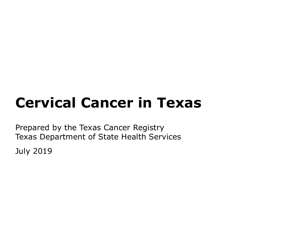# **Cervical Cancer in Texas**

Prepared by the Texas Cancer Registry Texas Department of State Health Services

July 2019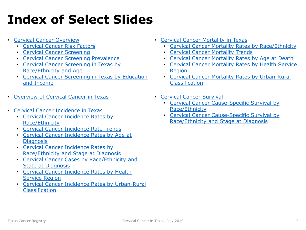# **Index of Select Slides**

- [Cervical Cancer Overview](#page-3-0)
	- [Cervical Cancer Risk Factors](#page-4-0)
	- [Cervical Cancer Screening](#page-5-0)
	- [Cervical Cancer Screening Prevalence](#page-7-0)
	- [Cervical Cancer Screening in Texas by](#page-7-0)  Race/Ethnicity and Age
	- [Cervical Cancer Screening in Texas by Education](#page-8-0) and Income
- [Overview of Cervical Cancer in Texas](#page-9-0)
- [Cervical Cancer Incidence in Texas](#page-11-0)
	- [Cervical Cancer Incidence Rates by](#page-13-0) Race/Ethnicity
	- [Cervical Cancer Incidence Rate Trends](#page-14-0)
	- [Cervical Cancer Incidence Rates by Age at](#page-15-0)  **Diagnosis**
	- Cervical Cancer Incidence Rates by [Race/Ethnicity and Stage at Diagnosis](#page-16-0)
	- [Cervical Cancer Cases by Race/Ethnicity and](#page-17-0) State at Diagnosis
	- [Cervical Cancer Incidence Rates by Health](#page-18-0) Service Region
	- [Cervical Cancer Incidence Rates by Urban-Rural](#page-21-0) Classification
- [Cervical Cancer Mortality in Texas](#page-22-0)
	- [Cervical Cancer Mortality Rates by Race/Ethnicity](#page-24-0)
	- [Cervical Cancer Mortality Trends](#page-25-0)
	- [Cervical Cancer Mortality Rates by Age at Death](#page-26-0)
	- [Cervical Cancer Mortality Rates by Health Service](#page-27-0)  **Region**
	- [Cervical Cancer Mortality Rates by Urban-Rural](#page-21-0) **Classification**
- [Cervical Cancer Survival](#page-29-0)
	- [Cervical Cancer Cause-Specific Survival by](#page-30-0) Race/Ethnicity
	- [Cervical Cancer Cause-Specific Survival by](#page-31-0) Race/Ethnicity and Stage at Diagnosis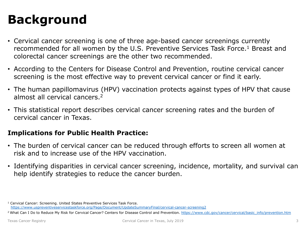## **Background**

- Cervical cancer screening is one of three age-based cancer screenings currently recommended for all women by the U.S. Preventive Services Task Force.<sup>1</sup> Breast and colorectal cancer screenings are the other two recommended.
- According to the Centers for Disease Control and Prevention, routine cervical cancer screening is the most effective way to prevent cervical cancer or find it early.
- The human papillomavirus (HPV) vaccination protects against types of HPV that cause almost all cervical cancers.2
- This statistical report describes cervical cancer screening rates and the burden of cervical cancer in Texas.

#### **Implications for Public Health Practice:**

- The burden of cervical cancer can be reduced through efforts to screen all women at risk and to increase use of the HPV vaccination.
- Identifying disparities in cervical cancer screening, incidence, mortality, and survival can help identify strategies to reduce the cancer burden.

<sup>1</sup> Cervical Cancer: Screening. United States Preventive Services Task Force. <https://www.uspreventiveservicestaskforce.org/Page/Document/UpdateSummaryFinal/cervical-cancer-screening2>

<sup>&</sup>lt;sup>2</sup> What Can I Do to Reduce My Risk for Cervical Cancer? Centers for Disease Control and Prevention. [https://www.cdc.gov/cancer/cervical/basic\\_info/prevention.htm](https://www.cdc.gov/cancer/cervical/basic_info/prevention.htm)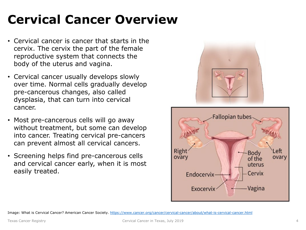# <span id="page-3-0"></span>**Cervical Cancer Overview**

- Cervical cancer is cancer that starts in the cervix. The cervix the part of the female reproductive system that connects the body of the uterus and vagina.
- Cervical cancer usually develops slowly over time. Normal cells gradually develop pre-cancerous changes, also called dysplasia, that can turn into cervical cancer.
- Most pre-cancerous cells will go away without treatment, but some can develop into cancer. Treating cervical pre-cancers can prevent almost all cervical cancers.
- Screening helps find pre-cancerous cells and cervical cancer early, when it is most easily treated.



Image: What is Cervical Cancer? American Cancer Society.<https://www.cancer.org/cancer/cervical-cancer/about/what-is-cervical-cancer.html>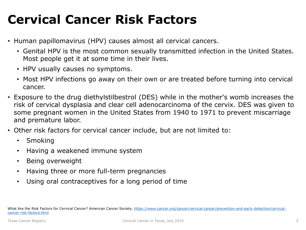# <span id="page-4-0"></span>**Cervical Cancer Risk Factors**

- Human papillomavirus (HPV) causes almost all cervical cancers.
	- Genital HPV is the most common sexually transmitted infection in the United States. Most people get it at some time in their lives.
	- HPV usually causes no symptoms.
	- Most HPV infections go away on their own or are treated before turning into cervical cancer.
- Exposure to the drug diethylstilbestrol (DES) while in the mother's womb increases the risk of cervical dysplasia and clear cell adenocarcinoma of the cervix. DES was given to some pregnant women in the United States from 1940 to 1971 to prevent miscarriage and premature labor.
- Other risk factors for cervical cancer include, but are not limited to:
	- Smoking
	- Having a weakened immune system
	- Being overweight
	- Having three or more full-term pregnancies
	- Using oral contraceptives for a long period of time

[What Are the Risk Factors for Cervical Cancer? American Cancer Society. https://www.cancer.org/cancer/cervical-cancer/prevention-and-early-detection/cervical](https://www.cancer.org/cancer/cervical-cancer/prevention-and-early-detection/cervical-cancer-risk-factors.html)cancer-risk-factors.html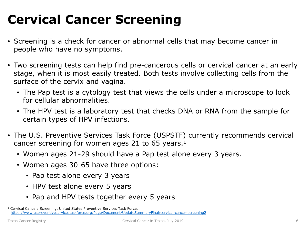# <span id="page-5-0"></span>**Cervical Cancer Screening**

- Screening is a check for cancer or abnormal cells that may become cancer in people who have no symptoms.
- Two screening tests can help find pre-cancerous cells or cervical cancer at an early stage, when it is most easily treated. Both tests involve collecting cells from the surface of the cervix and vagina.
	- The Pap test is a cytology test that views the cells under a microscope to look for cellular abnormalities.
	- The HPV test is a laboratory test that checks DNA or RNA from the sample for certain types of HPV infections.
- The U.S. Preventive Services Task Force (USPSTF) currently recommends cervical cancer screening for women ages 21 to 65 years.1
	- Women ages 21-29 should have a Pap test alone every 3 years.
	- Women ages 30-65 have three options:
		- Pap test alone every 3 years
		- HPV test alone every 5 years
		- Pap and HPV tests together every 5 years

<sup>1</sup> Cervical Cancer: Screening. United States Preventive Services Task Force. <https://www.uspreventiveservicestaskforce.org/Page/Document/UpdateSummaryFinal/cervical-cancer-screening2>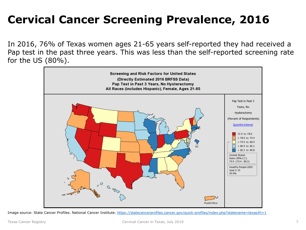## **Cervical Cancer Screening Prevalence, 2016**

In 2016, 76% of Texas women ages 21-65 years self-reported they had received a Pap test in the past three years. This was less than the self-reported screening rate for the US (80%).



Image source: State Cancer Profiles. National Cancer Institute. https://statecancerprofiles.cancer.gov/guick-profiles/index.php?statename=texas#t=1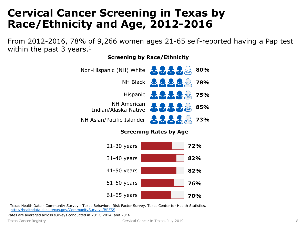### <span id="page-7-0"></span>**Cervical Cancer Screening in Texas by Race/Ethnicity and Age, 2012-2016**

From 2012-2016, 78% of 9,266 women ages 21-65 self-reported having a Pap test within the past 3 years.<sup>1</sup>

#### Non-Hispanic (NH) White **80%** なななな **NH Black 78%** Hispanic **& 75% NH American <b>A.A.A.** A.S. 85% Indian/Alaska Native NH Asian/Pacific Islander**73%**

#### **Screening by Race/Ethnicity**





<sup>1</sup> Texas Health Data - Community Survey - Texas Behavioral Risk Factor Survey. Texas Center for Health Statistics. <http://healthdata.dshs.texas.gov/CommunitySurveys/BRFSS>

Rates are averaged across surveys conducted in 2012, 2014, and 2016.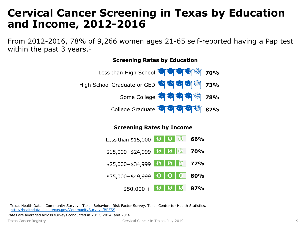### <span id="page-8-0"></span>**Cervical Cancer Screening in Texas by Education and Income, 2012-2016**

From 2012-2016, 78% of 9,266 women ages 21-65 self-reported having a Pap test within the past 3 years.<sup>1</sup>



#### **Screening Rates by Income**



<sup>1</sup> Texas Health Data - Community Survey - Texas Behavioral Risk Factor Survey. Texas Center for Health Statistics. <http://healthdata.dshs.texas.gov/CommunitySurveys/BRFSS>

Rates are averaged across surveys conducted in 2012, 2014, and 2016.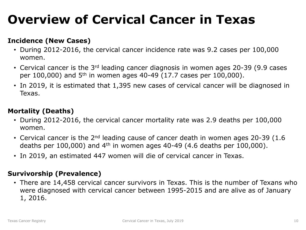# <span id="page-9-0"></span>**Overview of Cervical Cancer in Texas**

#### **Incidence (New Cases)**

- During 2012-2016, the cervical cancer incidence rate was 9.2 cases per 100,000 women.
- Cervical cancer is the  $3<sup>rd</sup>$  leading cancer diagnosis in women ages 20-39 (9.9 cases per 100,000) and  $5<sup>th</sup>$  in women ages 40-49 (17.7 cases per 100,000).
- In 2019, it is estimated that 1,395 new cases of cervical cancer will be diagnosed in Texas.

#### **Mortality (Deaths)**

- During 2012-2016, the cervical cancer mortality rate was 2.9 deaths per 100,000 women.
- Cervical cancer is the  $2<sup>nd</sup>$  leading cause of cancer death in women ages 20-39 (1.6 deaths per 100,000) and  $4<sup>th</sup>$  in women ages 40-49 (4.6 deaths per 100,000).
- In 2019, an estimated 447 women will die of cervical cancer in Texas.

#### **Survivorship (Prevalence)**

• There are 14,458 cervical cancer survivors in Texas. This is the number of Texans who were diagnosed with cervical cancer between 1995-2015 and are alive as of January 1, 2016.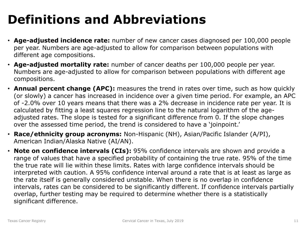# **Definitions and Abbreviations**

- **Age-adjusted incidence rate:** number of new cancer cases diagnosed per 100,000 people per year. Numbers are age-adjusted to allow for comparison between populations with different age compositions.
- **Age-adjusted mortality rate:** number of cancer deaths per 100,000 people per year. Numbers are age-adjusted to allow for comparison between populations with different age compositions.
- **Annual percent change (APC):** measures the trend in rates over time, such as how quickly (or slowly) a cancer has increased in incidence over a given time period. For example, an APC of -2.0% over 10 years means that there was a 2% decrease in incidence rate per year. It is calculated by fitting a least squares regression line to the natural logarithm of the ageadjusted rates. The slope is tested for a significant difference from 0. If the slope changes over the assessed time period, the trend is considered to have a 'joinpoint.'
- **Race/ethnicity group acronyms:** Non-Hispanic (NH), Asian/Pacific Islander (A/PI), American Indian/Alaska Native (AI/AN).
- **Note on confidence intervals (CIs):** 95% confidence intervals are shown and provide a range of values that have a specified probability of containing the true rate. 95% of the time the true rate will lie within these limits. Rates with large confidence intervals should be interpreted with caution. A 95% confidence interval around a rate that is at least as large as the rate itself is generally considered unstable. When there is no overlap in confidence intervals, rates can be considered to be significantly different. If confidence intervals partially overlap, further testing may be required to determine whether there is a statistically significant difference.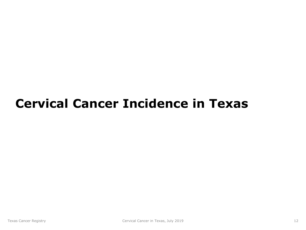## <span id="page-11-0"></span>**Cervical Cancer Incidence in Texas**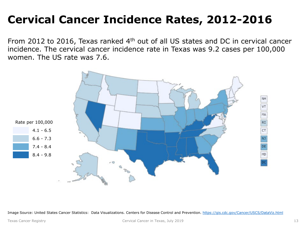## **Cervical Cancer Incidence Rates, 2012-2016**

From 2012 to 2016, Texas ranked 4th out of all US states and DC in cervical cancer incidence. The cervical cancer incidence rate in Texas was 9.2 cases per 100,000 women. The US rate was 7.6.



Image Source: United States Cancer Statistics: Data Visualizations. Centers for Disease Control and Prevention. <https://gis.cdc.gov/Cancer/USCS/DataViz.html>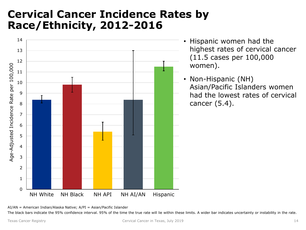### <span id="page-13-0"></span>**Cervical Cancer Incidence Rates by Race/Ethnicity, 2012-2016**



- Hispanic women had the highest rates of cervical cancer (11.5 cases per 100,000 women).
- Non-Hispanic (NH) Asian/Pacific Islanders women had the lowest rates of cervical cancer (5.4).

AI/AN = American Indian/Alaska Native; A/PI = Asian/Pacific Islander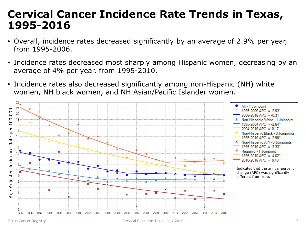#### <span id="page-14-0"></span>**Cervical Cancer Incidence Rate Trends in Texas, 1995-2016**

- Overall, incidence rates decreased significantly by an average of 2.9% per year, from 1995-2006.
- Incidence rates decreased most sharply among Hispanic women, decreasing by an average of 4% per year, from 1995-2010.
- Incidence rates also decreased significantly among non-Hispanic (NH) white women, NH black women, and NH Asian/Pacific Islander women.

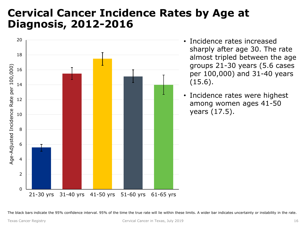### <span id="page-15-0"></span>**Cervical Cancer Incidence Rates by Age at Diagnosis, 2012-2016**



- Incidence rates increased sharply after age 30. The rate almost tripled between the age groups 21-30 years (5.6 cases per 100,000) and 31-40 years (15.6).
- Incidence rates were highest among women ages 41-50 years (17.5).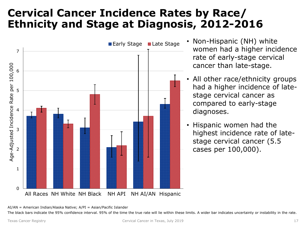### <span id="page-16-0"></span>**Cervical Cancer Incidence Rates by Race/ Ethnicity and Stage at Diagnosis, 2012-2016**



- Early Stage Late Stage Non-Hispanic (NH) white women had a higher incidence rate of early-stage cervical cancer than late-stage.
	- All other race/ethnicity groups had a higher incidence of latestage cervical cancer as compared to early-stage diagnoses.
	- Hispanic women had the highest incidence rate of latestage cervical cancer (5.5 cases per 100,000).

AI/AN = American Indian/Alaska Native; A/PI = Asian/Pacific Islander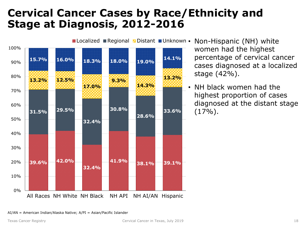### <span id="page-17-0"></span>**Cervical Cancer Cases by Race/Ethnicity and Stage at Diagnosis, 2012-2016**



**ØLocalized ■ Regional BDistant ■ Unknown • Non-Hispanic (NH) white** 

women had the highest percentage of cervical cancer cases diagnosed at a localized stage (42%).

• NH black women had the highest proportion of cases diagnosed at the distant stage  $(17\%)$ .

AI/AN = American Indian/Alaska Native; A/PI = Asian/Pacific Islander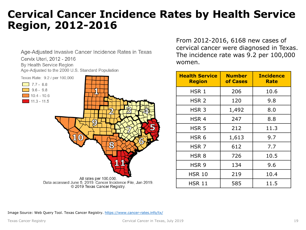#### <span id="page-18-0"></span>**Cervical Cancer Incidence Rates by Health Service Region, 2012-2016**

Age-Adjusted Invasive Cancer Incidence Rates in Texas Cervix Uteri, 2012 - 2016 By Health Service Region Age-Adjusted to the 2000 U.S. Standard Population Texas Rate: 9.2 / per 100,000  $\boxed{7.7 - 8.8}$  $9.6 - 9.8$  $10.4 - 10.6$  $11.3 - 11.5$ All rates per 100,000. Data accessed June 5, 2019. Cancer Incidence File, Jan 2019. © 2019 Texas Cancer Registry.

From 2012-2016, 6168 new cases of cervical cancer were diagnosed in Texas. The incidence rate was 9.2 per 100,000 women.

| <b>Health Service</b><br><b>Region</b> | <b>Number</b><br>of Cases | <b>Incidence</b><br>Rate |
|----------------------------------------|---------------------------|--------------------------|
| HSR 1                                  | 206                       | 10.6                     |
| HSR <sub>2</sub>                       | 120                       | 9.8                      |
| HSR <sub>3</sub>                       | 1,492                     | 8.0                      |
| HSR <sub>4</sub>                       | 247                       | 8.8                      |
| HSR <sub>5</sub>                       | 212                       | 11.3                     |
| HSR <sub>6</sub>                       | 1,613                     | 9.7                      |
| HSR <sub>7</sub>                       | 612                       | 7.7                      |
| HSR <sub>8</sub>                       | 726                       | 10.5                     |
| HSR <sub>9</sub>                       | 134                       | 9.6                      |
| HSR 10                                 | 219                       | 10.4                     |
| HSR 11                                 | 585                       | 11.5                     |

Image Source: Web Query Tool. Texas Cancer Registry.<https://www.cancer-rates.info/tx/>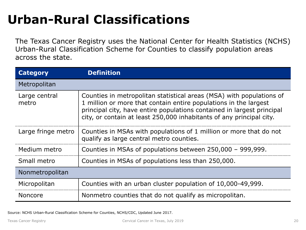# **Urban-Rural Classifications**

The Texas Cancer Registry uses the National Center for Health Statistics (NCHS) Urban-Rural Classification Scheme for Counties to classify population areas across the state.

| <b>Category</b>        | <b>Definition</b>                                                                                                                                                                                                                                                                          |  |
|------------------------|--------------------------------------------------------------------------------------------------------------------------------------------------------------------------------------------------------------------------------------------------------------------------------------------|--|
| Metropolitan           |                                                                                                                                                                                                                                                                                            |  |
| Large central<br>metro | Counties in metropolitan statistical areas (MSA) with populations of<br>1 million or more that contain entire populations in the largest<br>principal city, have entire populations contained in largest principal<br>city, or contain at least 250,000 inhabitants of any principal city. |  |
| Large fringe metro     | Counties in MSAs with populations of 1 million or more that do not<br>qualify as large central metro counties.                                                                                                                                                                             |  |
| Medium metro           | Counties in MSAs of populations between 250,000 - 999,999.                                                                                                                                                                                                                                 |  |
| Small metro            | Counties in MSAs of populations less than 250,000.                                                                                                                                                                                                                                         |  |
| Nonmetropolitan        |                                                                                                                                                                                                                                                                                            |  |
| Micropolitan           | Counties with an urban cluster population of 10,000-49,999.                                                                                                                                                                                                                                |  |
| <b>Noncore</b>         | Nonmetro counties that do not qualify as micropolitan.                                                                                                                                                                                                                                     |  |

Source: NCHS Urban-Rural Classification Scheme for Counties, NCHS/CDC, Updated June 2017.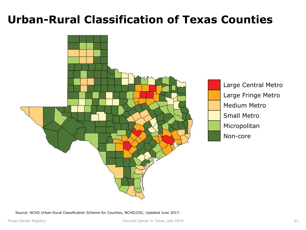### **Urban-Rural Classification of Texas Counties**



Source: NCHS Urban-Rural Classification Scheme for Counties, NCHS/CDC, Updated June 2017.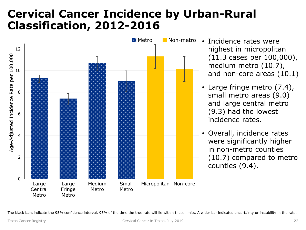### <span id="page-21-0"></span>**Cervical Cancer Incidence by Urban-Rural Classification, 2012-2016**



- Incidence rates were highest in micropolitan (11.3 cases per 100,000), medium metro (10.7), and non-core areas (10.1)
- Large fringe metro (7.4), small metro areas (9.0) and large central metro (9.3) had the lowest incidence rates.
- Overall, incidence rates were significantly higher in non-metro counties (10.7) compared to metro counties (9.4).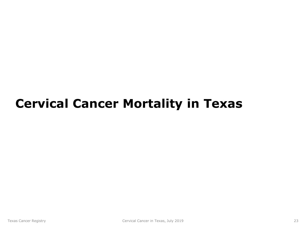## <span id="page-22-0"></span>**Cervical Cancer Mortality in Texas**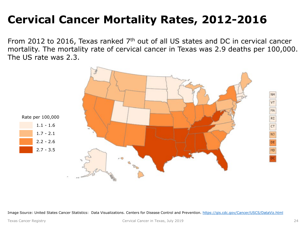## **Cervical Cancer Mortality Rates, 2012-2016**

From 2012 to 2016, Texas ranked 7th out of all US states and DC in cervical cancer mortality. The mortality rate of cervical cancer in Texas was 2.9 deaths per 100,000. The US rate was 2.3.



Image Source: United States Cancer Statistics: Data Visualizations. Centers for Disease Control and Prevention. <https://gis.cdc.gov/Cancer/USCS/DataViz.html>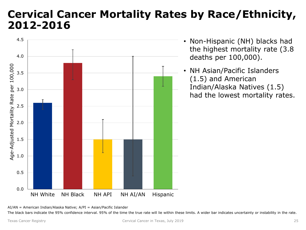#### <span id="page-24-0"></span>**Cervical Cancer Mortality Rates by Race/Ethnicity, 2012-2016**



- Non-Hispanic (NH) blacks had the highest mortality rate (3.8 deaths per 100,000).
- NH Asian/Pacific Islanders (1.5) and American Indian/Alaska Natives (1.5) had the lowest mortality rates.

AI/AN = American Indian/Alaska Native; A/PI = Asian/Pacific Islander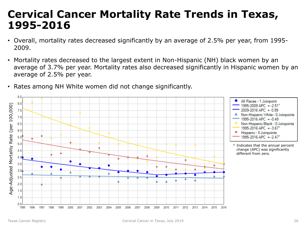#### <span id="page-25-0"></span>**Cervical Cancer Mortality Rate Trends in Texas, 1995-2016**

- Overall, mortality rates decreased significantly by an average of 2.5% per year, from 1995- 2009.
- Mortality rates decreased to the largest extent in Non-Hispanic (NH) black women by an average of 3.7% per year. Mortality rates also decreased significantly in Hispanic women by an average of 2.5% per year.
- Rates among NH White women did not change significantly.

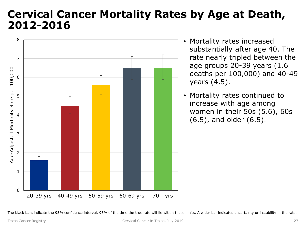#### <span id="page-26-0"></span>**Cervical Cancer Mortality Rates by Age at Death, 2012-2016**



- Mortality rates increased substantially after age 40. The rate nearly tripled between the age groups 20-39 years (1.6 deaths per 100,000) and 40-49 years (4.5).
- Mortality rates continued to increase with age among women in their 50s (5.6), 60s (6.5), and older (6.5).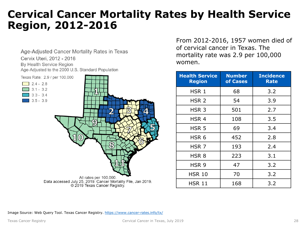#### <span id="page-27-0"></span>**Cervical Cancer Mortality Rates by Health Service Region, 2012-2016**

Age-Adjusted Cancer Mortality Rates in Texas Cervix Uteri, 2012 - 2016 By Health Service Region Age-Adjusted to the 2000 U.S. Standard Population



From 2012-2016, 1957 women died of of cervical cancer in Texas. The mortality rate was 2.9 per 100,000 women.

| <b>Health Service</b><br><b>Region</b> | <b>Number</b><br>of Cases | <b>Incidence</b><br><b>Rate</b> |
|----------------------------------------|---------------------------|---------------------------------|
| HSR 1                                  | 68                        | 3.2                             |
| HSR <sub>2</sub>                       | 54                        | 3.9                             |
| HSR <sub>3</sub>                       | 501                       | 2.7                             |
| HSR <sub>4</sub>                       | 108                       | 3.5                             |
| HSR <sub>5</sub>                       | 69                        | 3.4                             |
| HSR <sub>6</sub>                       | 452                       | 2.8                             |
| HSR <sub>7</sub>                       | 193                       | 2.4                             |
| HSR <sub>8</sub>                       | 223                       | 3.1                             |
| HSR 9                                  | 47                        | 3.2                             |
| HSR 10                                 | 70                        | 3.2                             |
| HSR 11                                 | 168                       | 3.2                             |

Image Source: Web Query Tool. Texas Cancer Registry.<https://www.cancer-rates.info/tx/>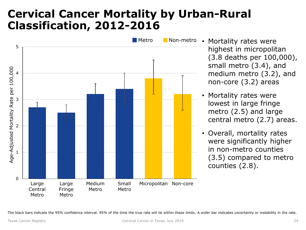### **Cervical Cancer Mortality by Urban-Rural Classification, 2012-2016**



- Mortality rates were highest in micropolitan (3.8 deaths per 100,000), small metro (3.4), and medium metro (3.2), and non-core (3.2) areas
- Mortality rates were lowest in large fringe metro (2.5) and large central metro (2.7) areas.
- Overall, mortality rates were significantly higher in non-metro counties (3.5) compared to metro counties (2.8).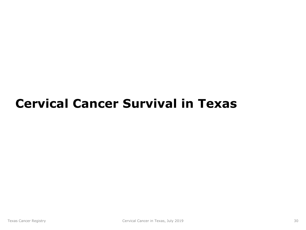## <span id="page-29-0"></span>**Cervical Cancer Survival in Texas**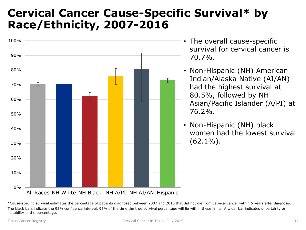### <span id="page-30-0"></span>**Cervical Cancer Cause-Specific Survival\* by Race/Ethnicity, 2007-2016**



- The overall cause-specific survival for cervical cancer is 70.7%.
- Non-Hispanic (NH) American Indian/Alaska Native (AI/AN) had the highest survival at 80.5%, followed by NH Asian/Pacific Islander (A/PI) at 76.2%.
- Non-Hispanic (NH) black women had the lowest survival  $(62.1\%)$ .

All Races NH White NH Black NH A/PI NH AI/AN Hispanic

\*Cause-specific survival estimates the percentage of patients diagnosed between 2007 and 2016 that did not die from cervical cancer within 5 years after diagnosis. The black bars indicate the 95% confidence interval. 95% of the time the true survival percentage will lie within these limits. A wider bar indicates uncertainty or instability in the percentage.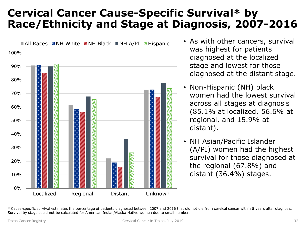### <span id="page-31-0"></span>**Cervical Cancer Cause-Specific Survival\* by Race/Ethnicity and Stage at Diagnosis, 2007-2016**



- As with other cancers, survival was highest for patients diagnosed at the localized stage and lowest for those diagnosed at the distant stage.
- Non-Hispanic (NH) black women had the lowest survival across all stages at diagnosis (85.1% at localized, 56.6% at regional, and 15.9% at distant).
- NH Asian/Pacific Islander (A/PI) women had the highest survival for those diagnosed at the regional (67.8%) and distant (36.4%) stages.

<sup>\*</sup> Cause-specific survival estimates the percentage of patients diagnosed between 2007 and 2016 that did not die from cervical cancer within 5 years after diagnosis. Survival by stage could not be calculated for American Indian/Alaska Native women due to small numbers.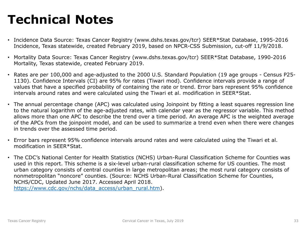## **Technical Notes**

- Incidence Data Source: Texas Cancer Registry (www.dshs.texas.gov/tcr) SEER\*Stat Database, 1995-2016 Incidence, Texas statewide, created February 2019, based on NPCR-CSS Submission, cut-off 11/9/2018.
- Mortality Data Source: Texas Cancer Registry (www.dshs.texas.gov/tcr) SEER\*Stat Database, 1990-2016 Mortality, Texas statewide, created February 2019.
- Rates are per 100,000 and age-adjusted to the 2000 U.S. Standard Population (19 age groups Census P25- 1130). Confidence Intervals (CI) are 95% for rates (Tiwari mod). Confidence intervals provide a range of values that have a specified probability of containing the rate or trend. Error bars represent 95% confidence intervals around rates and were calculated using the Tiwari et al. modification in SEER\*Stat.
- The annual percentage change (APC) was calculated using Joinpoint by fitting a least squares regression line to the natural logarithm of the age-adjusted rates, with calendar year as the regressor variable. This method allows more than one APC to describe the trend over a time period. An average APC is the weighted average of the APCs from the joinpoint model, and can be used to summarize a trend even when there were changes in trends over the assessed time period.
- Error bars represent 95% confidence intervals around rates and were calculated using the Tiwari et al. modification in SEER\*Stat.
- The CDC's National Center for Health Statistics (NCHS) Urban-Rural Classification Scheme for Counties was used in this report. This scheme is a six-level urban-rural classification scheme for US counties. The most urban category consists of central counties in large metropolitan areas; the most rural category consists of nonmetropolitan "noncore" counties. (Source: NCHS Urban-Rural Classification Scheme for Counties, NCHS/CDC, Updated June 2017. Accessed April 2018. [https://www.cdc.gov/nchs/data\\_access/urban\\_rural.htm](https://www.cdc.gov/nchs/data_access/urban_rural.htm)).